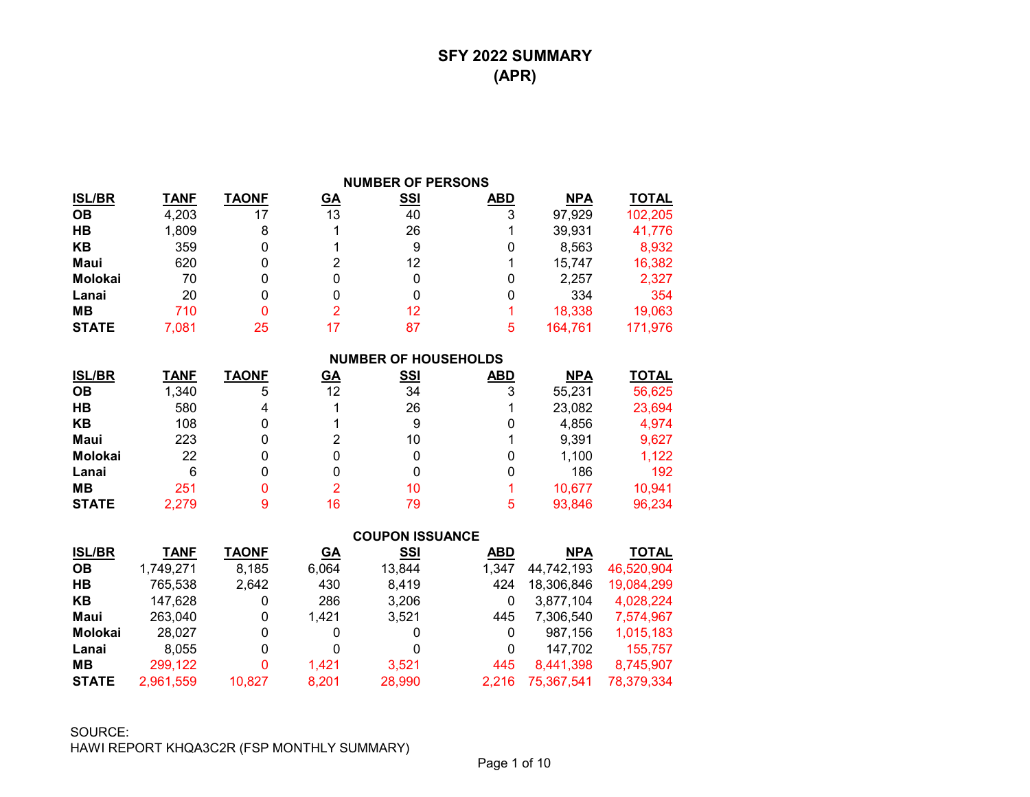### **SFY 2022 SUMMARY (APR)**

|               |             |              |                | <b>NUMBER OF PERSONS</b>    |            |            |              |
|---------------|-------------|--------------|----------------|-----------------------------|------------|------------|--------------|
| <u>ISL/BR</u> | <b>TANF</b> | <b>TAONF</b> | <u>GA</u>      | <b>SSI</b>                  | <b>ABD</b> | <b>NPA</b> | <b>TOTAL</b> |
| OВ            | 4,203       | 17           | 13             | 40                          | 3          | 97,929     | 102,205      |
| HВ            | 1,809       | 8            |                | 26                          |            | 39,931     | 41,776       |
| KΒ            | 359         | 0            |                | 9                           | 0          | 8,563      | 8,932        |
| Maui          | 620         | 0            | 2              | 12                          |            | 15,747     | 16,382       |
| Molokai       | 70          | 0            | 0              | 0                           | 0          | 2,257      | 2,327        |
| Lanai         | 20          | 0            | 0              | 0                           | 0          | 334        | 354          |
| MВ            | 710         | 0            | $\overline{2}$ | 12                          |            | 18,338     | 19,063       |
| STATE         | 7,081       | 25           | 17             | 87                          | 5          | 164,761    | 171,976      |
|               |             |              |                | <b>NUMBER OF HOUSEHOLDS</b> |            |            |              |
| <u>ISL/BR</u> | <b>TANF</b> | <b>TAONF</b> | <u>GA</u>      | <u>SSI</u>                  | <b>ABD</b> | <b>NPA</b> | <u>TOTAL</u> |
| OВ            | 1,340       | 5            | 12             | 34                          | 3          | 55,231     | 56,625       |
| HВ            | 580         | 4            |                | 26                          |            | 23,082     | 23,694       |
| KΒ            | 108         | 0            |                | 9                           | 0          | 4,856      | 4,974        |
| Maui          | 223         | 0            | 2              | 10                          |            | 9,391      | 9,627        |
| Molokai       | 22          | 0            | 0              | 0                           | $\Omega$   | 1,100      | 1,122        |
| Lanai         | 6           | 0            | 0              | 0                           | 0          | 186        | 192          |
| MВ            | 251         | O            | 2              | 10                          |            | 10,677     | 10,941       |
| STATE         | 2,279       | 9            | 16             | 79                          | 5          | 93,846     | 96,234       |
|               |             |              |                | AALIBAN JAALLANAP           |            |            |              |

|               |             |              |           | <b>COUPON ISSUANCE</b> |            |            |              |
|---------------|-------------|--------------|-----------|------------------------|------------|------------|--------------|
| <b>ISL/BR</b> | <b>TANF</b> | <b>TAONF</b> | <u>GA</u> | <u>SSI</u>             | <b>ABD</b> | <b>NPA</b> | <b>TOTAL</b> |
| <b>OB</b>     | 1,749,271   | 8,185        | 6,064     | 13,844                 | 1,347      | 44,742,193 | 46,520,904   |
| HB            | 765,538     | 2,642        | 430       | 8,419                  | 424        | 18,306,846 | 19,084,299   |
| KB            | 147,628     | 0            | 286       | 3,206                  | 0          | 3,877,104  | 4,028,224    |
| Maui          | 263,040     | 0            | 1.421     | 3,521                  | 445        | 7,306,540  | 7,574,967    |
| Molokai       | 28.027      | 0            | 0         | 0                      | 0          | 987.156    | 1,015,183    |
| Lanai         | 8.055       | 0            | 0         | 0                      | 0          | 147,702    | 155,757      |
| MВ            | 299,122     | 0            | 1.421     | 3,521                  | 445        | 8,441,398  | 8,745,907    |
| <b>STATE</b>  | 2,961,559   | 10,827       | 8,201     | 28,990                 | 2.216      | 75,367,541 | 78,379,334   |

SOURCE: HAWI REPORT KHQA3C2R (FSP MONTHLY SUMMARY)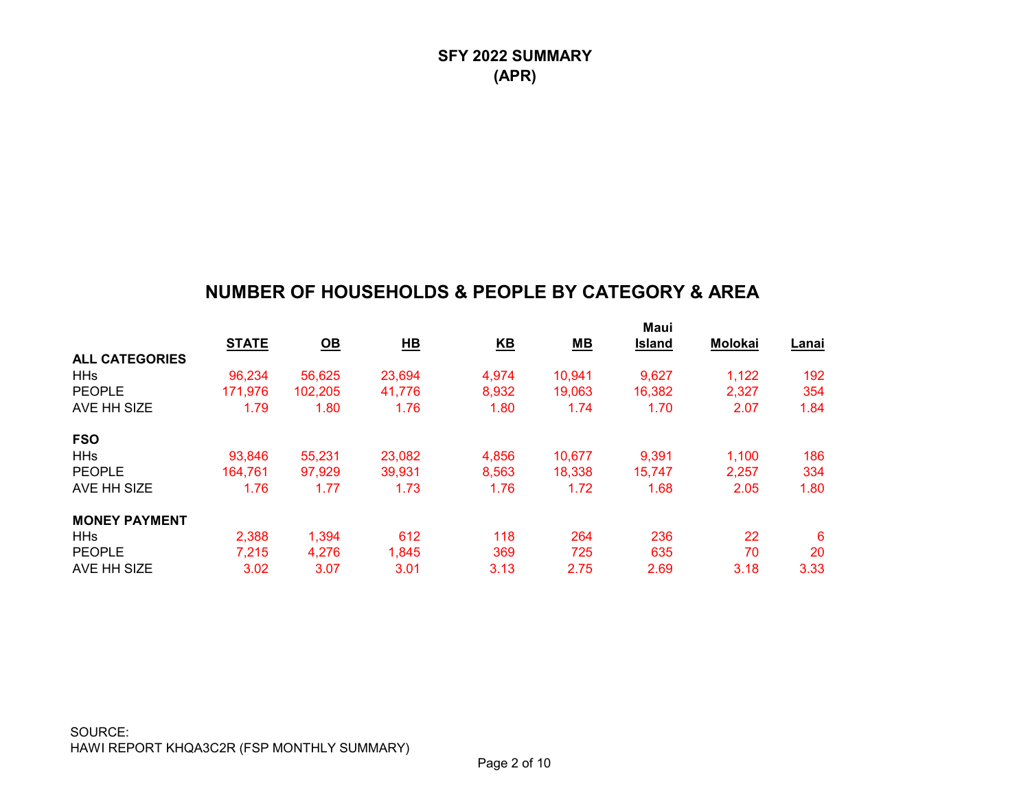## **NUMBER OF HOUSEHOLDS & PEOPLE BY CATEGORY & AREA**

|              |         |                           |       |                  | Maui                      |                |       |
|--------------|---------|---------------------------|-------|------------------|---------------------------|----------------|-------|
| <b>STATE</b> |         |                           |       |                  | <b>Island</b>             | <b>Molokai</b> | Lanai |
|              |         |                           |       |                  |                           |                |       |
| 96,234       | 56,625  | 23,694                    | 4,974 | 10,941           | 9,627                     | 1,122          | 192   |
| 171,976      | 102,205 | 41.776                    | 8,932 | 19,063           | 16,382                    | 2,327          | 354   |
| 1.79         | 1.80    | 1.76                      | 1.80  | 1.74             | 1.70                      | 2.07           | 1.84  |
|              |         |                           |       |                  |                           |                |       |
| 93,846       | 55,231  | 23,082                    | 4,856 | 10,677           | 9,391                     | 1,100          | 186   |
| 164.761      | 97,929  | 39,931                    | 8,563 | 18,338           | 15,747                    | 2,257          | 334   |
| 1.76         | 1.77    | 1.73                      | 1.76  | 1.72             | 1.68                      | 2.05           | 1.80  |
|              |         |                           |       |                  |                           |                |       |
| 2,388        | 1,394   | 612                       | 118   | 264              | 236                       | 22             | 6     |
| 7,215        | 4,276   | 1,845                     | 369   | 725              | 635                       | 70             | 20    |
| 3.02         | 3.07    | 3.01                      | 3.13  | 2.75             | 2.69                      | 3.18           | 3.33  |
|              |         | $\underline{\mathsf{OB}}$ | H     | $\underline{KB}$ | $\underline{\mathsf{MB}}$ |                |       |

SOURCE: HAWI REPORT KHQA3C2R (FSP MONTHLY SUMMARY)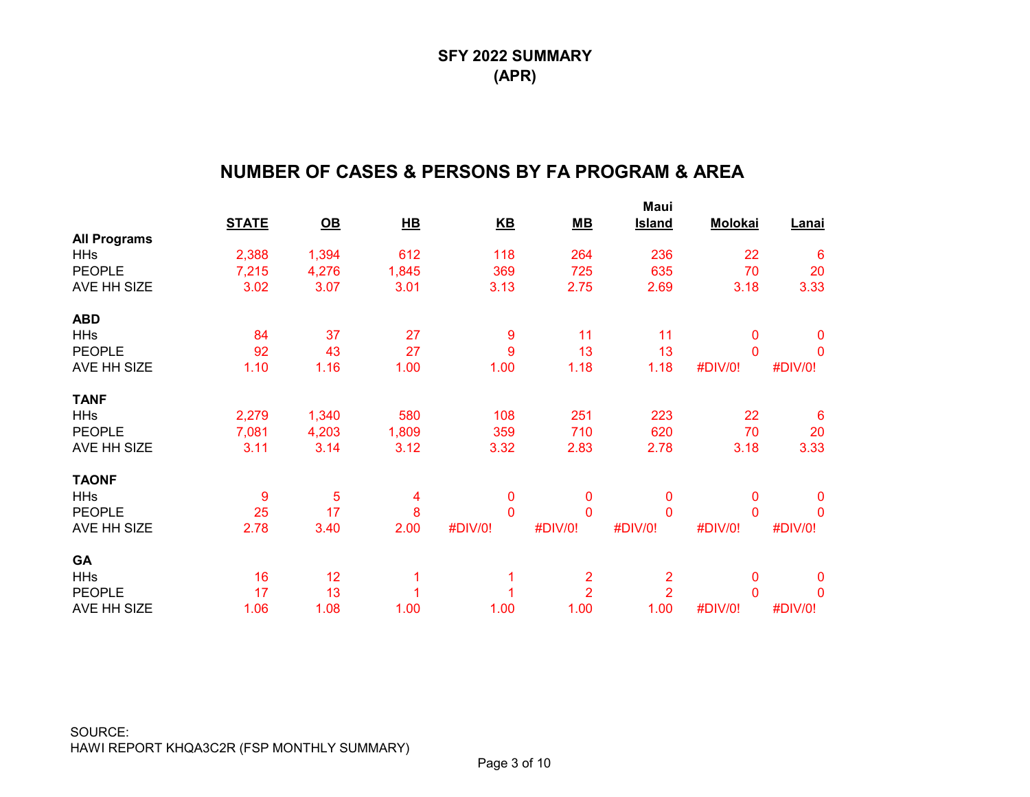## **NUMBER OF CASES & PERSONS BY FA PROGRAM & AREA**

|                     |              |                           |       |              |                | Maui           |                |              |
|---------------------|--------------|---------------------------|-------|--------------|----------------|----------------|----------------|--------------|
|                     | <b>STATE</b> | $\underline{\mathsf{OB}}$ | H     | $K$ B        | $MB$           | <b>Island</b>  | <b>Molokai</b> | <b>Lanai</b> |
| <b>All Programs</b> |              |                           |       |              |                |                |                |              |
| <b>HHs</b>          | 2,388        | 1,394                     | 612   | 118          | 264            | 236            | 22             | 6            |
| <b>PEOPLE</b>       | 7,215        | 4,276                     | 1,845 | 369          | 725            | 635            | 70             | 20           |
| AVE HH SIZE         | 3.02         | 3.07                      | 3.01  | 3.13         | 2.75           | 2.69           | 3.18           | 3.33         |
| <b>ABD</b>          |              |                           |       |              |                |                |                |              |
| <b>HHs</b>          | 84           | 37                        | 27    | 9            | 11             | 11             | 0              | 0            |
| <b>PEOPLE</b>       | 92           | 43                        | 27    | 9            | 13             | 13             | $\mathbf{0}$   | $\mathbf 0$  |
| AVE HH SIZE         | 1.10         | 1.16                      | 1.00  | 1.00         | 1.18           | 1.18           | #DIV/0!        | #DIV/0!      |
| <b>TANF</b>         |              |                           |       |              |                |                |                |              |
| <b>HHs</b>          | 2,279        | 1,340                     | 580   | 108          | 251            | 223            | 22             | 6            |
| <b>PEOPLE</b>       | 7,081        | 4,203                     | 1,809 | 359          | 710            | 620            | 70             | 20           |
| AVE HH SIZE         | 3.11         | 3.14                      | 3.12  | 3.32         | 2.83           | 2.78           | 3.18           | 3.33         |
| <b>TAONF</b>        |              |                           |       |              |                |                |                |              |
| <b>HHs</b>          | 9            | 5                         | 4     | 0            | $\mathbf 0$    | 0              | 0              | $\mathbf 0$  |
| <b>PEOPLE</b>       | 25           | 17                        | 8     | $\mathbf{0}$ | $\mathbf 0$    | $\mathbf{0}$   | $\Omega$       | $\mathbf{0}$ |
| AVE HH SIZE         | 2.78         | 3.40                      | 2.00  | #DIV/0!      | #DIV/0!        | #DIV/0!        | #DIV/0!        | #DIV/0!      |
| GA                  |              |                           |       |              |                |                |                |              |
| <b>HHs</b>          | 16           | 12                        |       |              | 2              | $\overline{2}$ | 0              | $\mathbf 0$  |
| <b>PEOPLE</b>       | 17           | 13                        |       |              | $\overline{2}$ | $\overline{2}$ | $\mathbf{0}$   | 0            |
| AVE HH SIZE         | 1.06         | 1.08                      | 1.00  | 1.00         | 1.00           | 1.00           | #DIV/0!        | #DIV/0!      |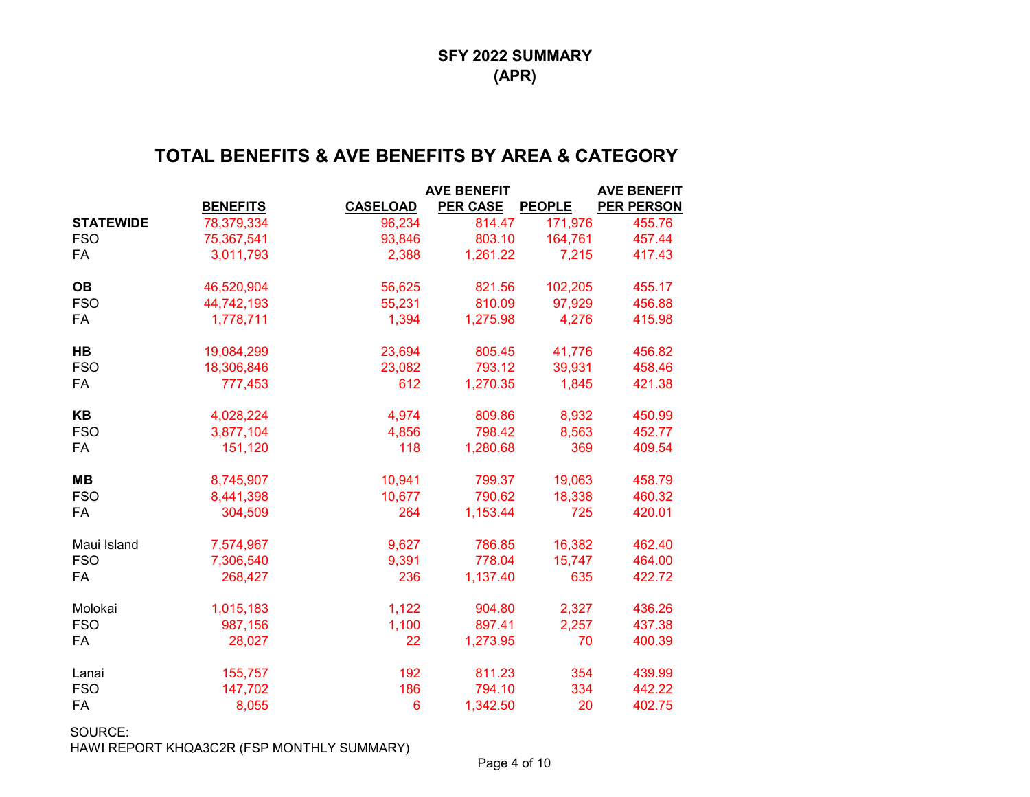## **TOTAL BENEFITS & AVE BENEFITS BY AREA & CATEGORY**

|                  |                 |                 | <b>AVE BENEFIT</b> |               | <b>AVE BENEFIT</b> |
|------------------|-----------------|-----------------|--------------------|---------------|--------------------|
|                  | <b>BENEFITS</b> | <b>CASELOAD</b> | <b>PER CASE</b>    | <b>PEOPLE</b> | <b>PER PERSON</b>  |
| <b>STATEWIDE</b> | 78,379,334      | 96,234          | 814.47             | 171,976       | 455.76             |
| <b>FSO</b>       | 75,367,541      | 93,846          | 803.10             | 164,761       | 457.44             |
| FA               | 3,011,793       | 2,388           | 1,261.22           | 7,215         | 417.43             |
| <b>OB</b>        | 46,520,904      | 56,625          | 821.56             | 102,205       | 455.17             |
| <b>FSO</b>       | 44,742,193      | 55,231          | 810.09             | 97,929        | 456.88             |
| FA               | 1,778,711       | 1,394           | 1,275.98           | 4,276         | 415.98             |
| <b>HB</b>        | 19,084,299      | 23,694          | 805.45             | 41,776        | 456.82             |
| <b>FSO</b>       | 18,306,846      | 23,082          | 793.12             | 39,931        | 458.46             |
| FA               | 777,453         | 612             | 1,270.35           | 1,845         | 421.38             |
| <b>KB</b>        | 4,028,224       | 4,974           | 809.86             | 8,932         | 450.99             |
| <b>FSO</b>       | 3,877,104       | 4,856           | 798.42             | 8,563         | 452.77             |
| FA               | 151,120         | 118             | 1,280.68           | 369           | 409.54             |
| <b>MB</b>        | 8,745,907       | 10,941          | 799.37             | 19,063        | 458.79             |
| <b>FSO</b>       | 8,441,398       | 10,677          | 790.62             | 18,338        | 460.32             |
| FA               | 304,509         | 264             | 1,153.44           | 725           | 420.01             |
| Maui Island      | 7,574,967       | 9,627           | 786.85             | 16,382        | 462.40             |
| <b>FSO</b>       | 7,306,540       | 9,391           | 778.04             | 15,747        | 464.00             |
| FA               | 268,427         | 236             | 1,137.40           | 635           | 422.72             |
| Molokai          | 1,015,183       | 1,122           | 904.80             | 2,327         | 436.26             |
| <b>FSO</b>       | 987,156         | 1,100           | 897.41             | 2,257         | 437.38             |
| FA               | 28,027          | 22              | 1,273.95           | 70            | 400.39             |
| Lanai            | 155,757         | 192             | 811.23             | 354           | 439.99             |
| <b>FSO</b>       | 147,702         | 186             | 794.10             | 334           | 442.22             |
| FA               | 8,055           | $6\phantom{1}6$ | 1,342.50           | 20            | 402.75             |

SOURCE: HAWI REPORT KHQA3C2R (FSP MONTHLY SUMMARY)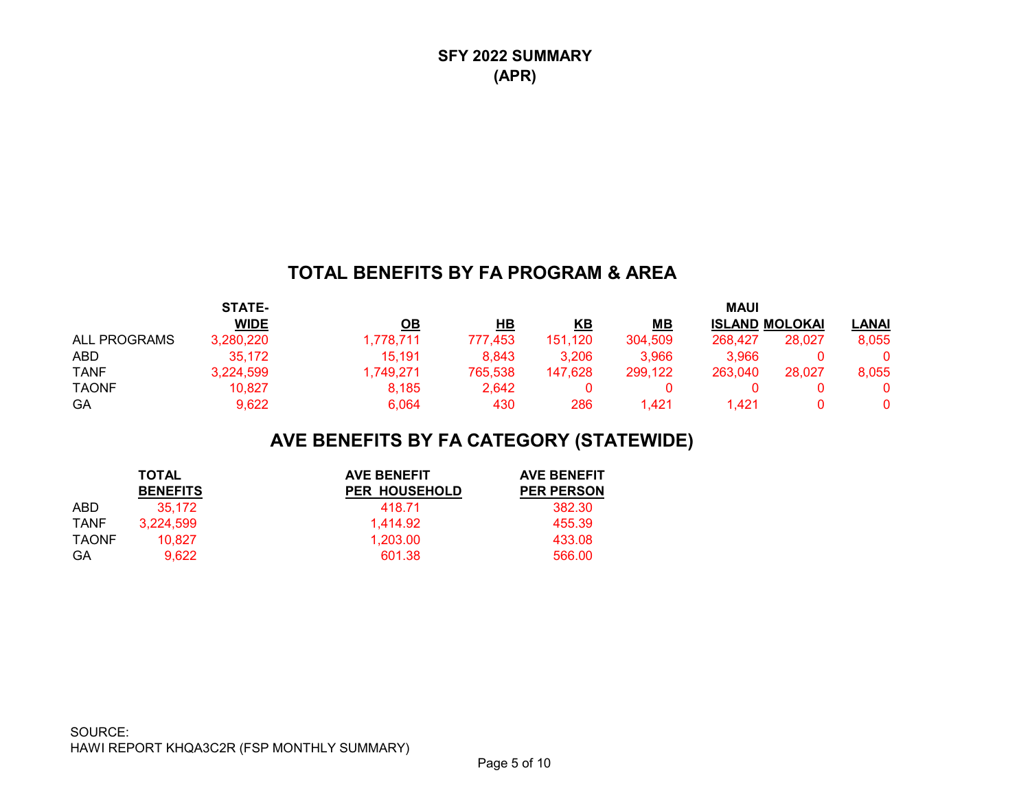## **TOTAL BENEFITS BY FA PROGRAM & AREA**

|                     | STATE-      |           |         |         |         | <b>MAUI</b>           |        |              |
|---------------------|-------------|-----------|---------|---------|---------|-----------------------|--------|--------------|
|                     | <b>WIDE</b> | ОВ        | HВ      | KΒ      | MВ      | <b>ISLAND MOLOKAI</b> |        | <b>LANAI</b> |
| <b>ALL PROGRAMS</b> | 3,280,220   | 1,778,711 | 777,453 | 151,120 | 304,509 | 268.427               | 28.027 | 8,055        |
| <b>ABD</b>          | 35,172      | 15,191    | 8.843   | 3,206   | 3,966   | 3.966                 |        |              |
| TANF                | 3,224,599   | 1.749.271 | 765,538 | 147.628 | 299,122 | 263.040               | 28.027 | 8,055        |
| TAONF               | 10,827      | 8.185     | 2.642   |         |         |                       |        |              |
| GA                  | 9,622       | 6.064     | 430     | 286     | .421    | .421                  |        |              |

# **AVE BENEFITS BY FA CATEGORY (STATEWIDE)**

|             | <b>TOTAL</b>    | <b>AVE BENEFIT</b>   | <b>AVE BENEFIT</b> |
|-------------|-----------------|----------------------|--------------------|
|             | <b>BENEFITS</b> | <b>PER HOUSEHOLD</b> | <b>PER PERSON</b>  |
| ABD         | 35.172          | 418.71               | 382.30             |
| <b>TANF</b> | 3,224,599       | 1.414.92             | 455.39             |
| TAONF       | 10.827          | 1.203.00             | 433.08             |
| GA          | 9.622           | 601.38               | 566.00             |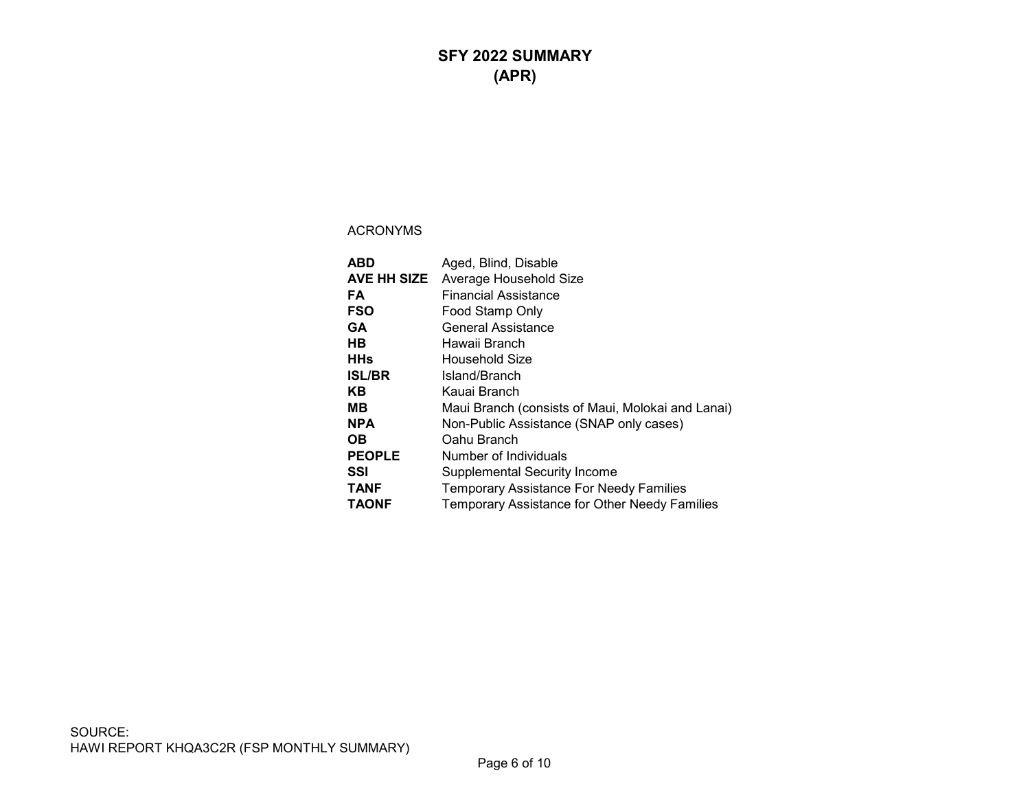## **SFY 2022 SUMMARY (APR)**

| ABD           | Aged, Blind, Disable                                 |
|---------------|------------------------------------------------------|
| AVE HH SIZE   | Average Household Size                               |
| FA            | Financial Assistance                                 |
| <b>FSO</b>    | Food Stamp Only                                      |
| GA            | <b>General Assistance</b>                            |
| HВ            | Hawaii Branch                                        |
| <b>HHs</b>    | Household Size                                       |
| <b>ISL/BR</b> | Island/Branch                                        |
| KВ            | Kauai Branch                                         |
| мв            | Maui Branch (consists of Maui, Molokai and Lanai)    |
| <b>NPA</b>    | Non-Public Assistance (SNAP only cases)              |
| OВ            | Oahu Branch                                          |
| <b>PEOPLE</b> | Number of Individuals                                |
| SSI           | <b>Supplemental Security Income</b>                  |
| <b>TANF</b>   | <b>Temporary Assistance For Needy Families</b>       |
| <b>TAONF</b>  | <b>Temporary Assistance for Other Needy Families</b> |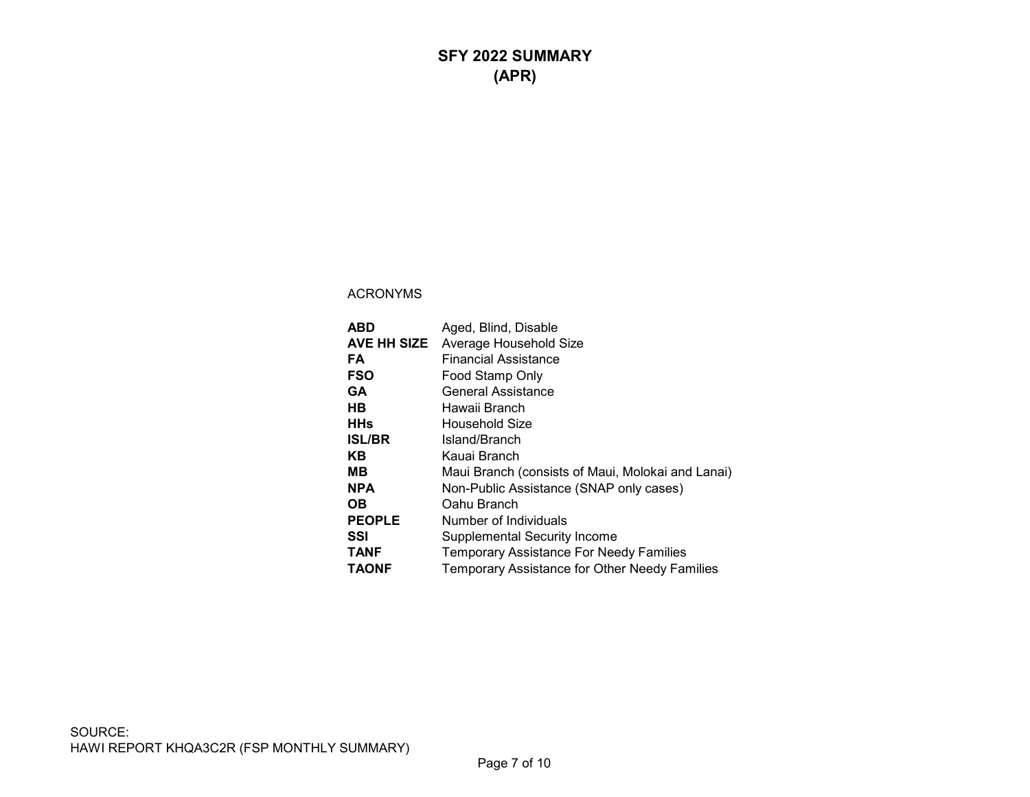| ABD           | Aged, Blind, Disable                              |
|---------------|---------------------------------------------------|
| AVE HH SIZE   | Average Household Size                            |
| FA            | Financial Assistance                              |
| <b>FSO</b>    | Food Stamp Only                                   |
| GA            | General Assistance                                |
| HВ            | Hawaii Branch                                     |
| <b>HHs</b>    | Household Size                                    |
| <b>ISL/BR</b> | Island/Branch                                     |
| KB.           | Kauai Branch                                      |
| MВ            | Maui Branch (consists of Maui, Molokai and Lanai) |
| <b>NPA</b>    | Non-Public Assistance (SNAP only cases)           |
| OВ            | Oahu Branch                                       |
| <b>PEOPLE</b> | Number of Individuals                             |
| SSI           | <b>Supplemental Security Income</b>               |
| <b>TANF</b>   | <b>Temporary Assistance For Needy Families</b>    |
| <b>TAONF</b>  | Temporary Assistance for Other Needy Families     |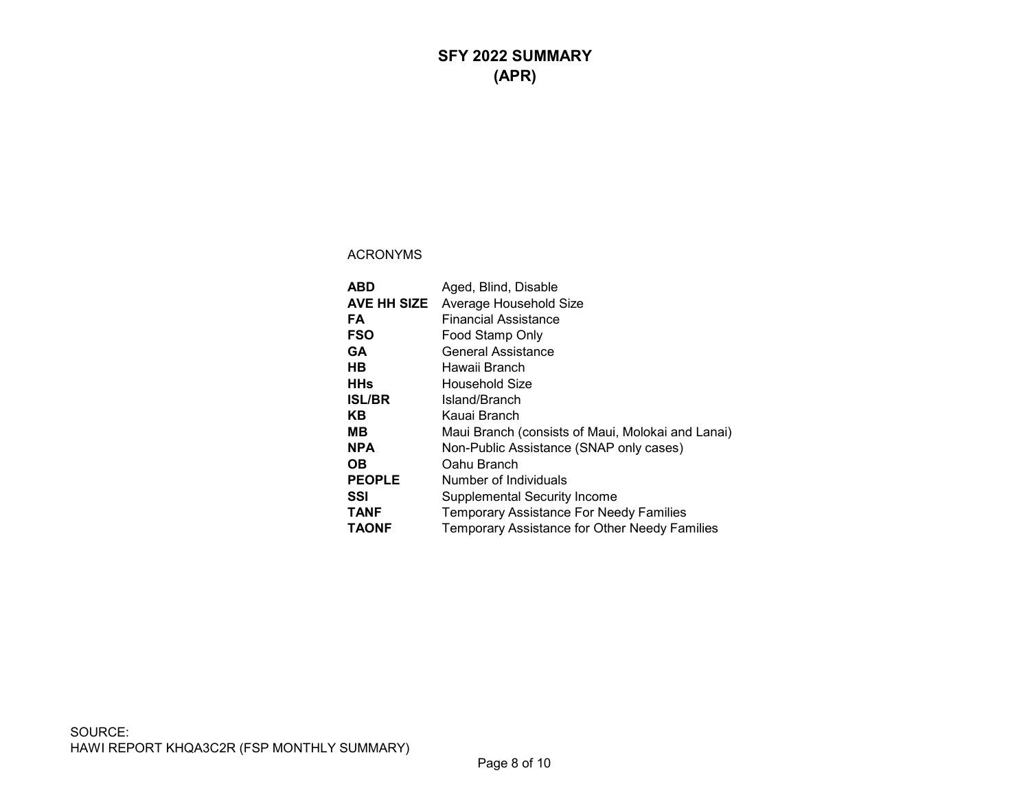## **SFY 2022 SUMMARY (APR)**

| ABD           | Aged, Blind, Disable                                 |
|---------------|------------------------------------------------------|
| AVE HH SIZE   | Average Household Size                               |
| FA            | Financial Assistance                                 |
| <b>FSO</b>    | Food Stamp Only                                      |
| <b>GA</b>     | General Assistance                                   |
| HВ            | Hawaii Branch                                        |
| <b>HHs</b>    | Household Size                                       |
| <b>ISL/BR</b> | Island/Branch                                        |
| ΚB            | Kauai Branch                                         |
| MВ            | Maui Branch (consists of Maui, Molokai and Lanai)    |
| <b>NPA</b>    | Non-Public Assistance (SNAP only cases)              |
| OВ            | Oahu Branch                                          |
| <b>PEOPLE</b> | Number of Individuals                                |
| SSI           | <b>Supplemental Security Income</b>                  |
| <b>TANF</b>   | <b>Temporary Assistance For Needy Families</b>       |
| <b>TAONF</b>  | <b>Temporary Assistance for Other Needy Families</b> |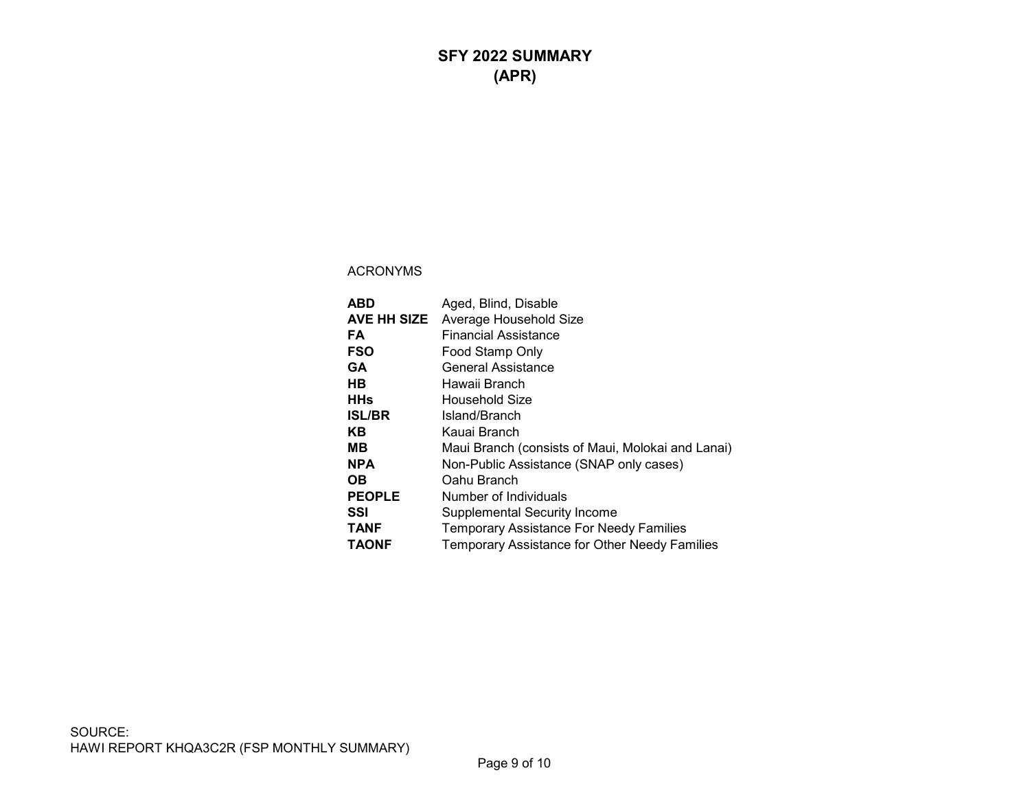| ABD           | Aged, Blind, Disable                              |
|---------------|---------------------------------------------------|
| AVE HH SIZE   | Average Household Size                            |
| FA            | <b>Financial Assistance</b>                       |
| <b>FSO</b>    | Food Stamp Only                                   |
| GA            | <b>General Assistance</b>                         |
| HВ            | Hawaii Branch                                     |
| <b>HHs</b>    | Household Size                                    |
| <b>ISL/BR</b> | Island/Branch                                     |
| ΚB            | Kauai Branch                                      |
| MВ            | Maui Branch (consists of Maui, Molokai and Lanai) |
| <b>NPA</b>    | Non-Public Assistance (SNAP only cases)           |
| OВ            | Oahu Branch                                       |
| <b>PEOPLE</b> | Number of Individuals                             |
| SSI           | <b>Supplemental Security Income</b>               |
| <b>TANF</b>   | <b>Temporary Assistance For Needy Families</b>    |
| <b>TAONF</b>  | Temporary Assistance for Other Needy Families     |